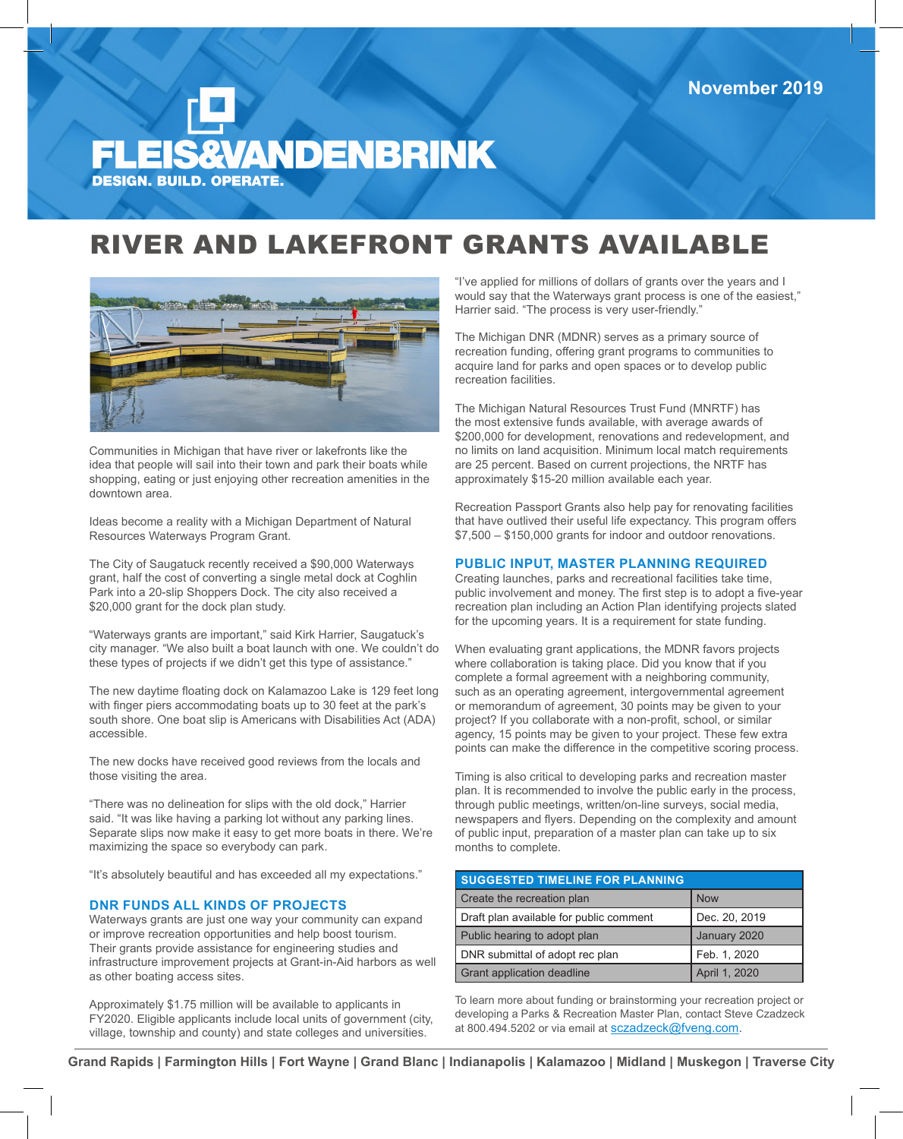# **ANDENBRINK DESIGN. BUILD. OPERATE.**

## RIVER AND LAKEFRONT GRANTS AVAILABLE



Communities in Michigan that have river or lakefronts like the idea that people will sail into their town and park their boats while shopping, eating or just enjoying other recreation amenities in the downtown area.

Ideas become a reality with a Michigan Department of Natural Resources Waterways Program Grant.

The City of Saugatuck recently received a \$90,000 Waterways grant, half the cost of converting a single metal dock at Coghlin Park into a 20-slip Shoppers Dock. The city also received a \$20,000 grant for the dock plan study.

"Waterways grants are important," said Kirk Harrier, Saugatuck's city manager. "We also built a boat launch with one. We couldn't do these types of projects if we didn't get this type of assistance."

The new daytime floating dock on Kalamazoo Lake is 129 feet long with finger piers accommodating boats up to 30 feet at the park's south shore. One boat slip is Americans with Disabilities Act (ADA) accessible.

The new docks have received good reviews from the locals and those visiting the area.

"There was no delineation for slips with the old dock," Harrier said. "It was like having a parking lot without any parking lines. Separate slips now make it easy to get more boats in there. We're maximizing the space so everybody can park.

"It's absolutely beautiful and has exceeded all my expectations."

### **DNR FUNDS ALL KINDS OF PROJECTS**

Waterways grants are just one way your community can expand or improve recreation opportunities and help boost tourism. Their grants provide assistance for engineering studies and infrastructure improvement projects at Grant-in-Aid harbors as well as other boating access sites.

Approximately \$1.75 million will be available to applicants in FY2020. Eligible applicants include local units of government (city, village, township and county) and state colleges and universities.

"I've applied for millions of dollars of grants over the years and I would say that the Waterways grant process is one of the easiest," Harrier said. "The process is very user-friendly."

The Michigan DNR (MDNR) serves as a primary source of recreation funding, offering grant programs to communities to acquire land for parks and open spaces or to develop public recreation facilities.

The Michigan Natural Resources Trust Fund (MNRTF) has the most extensive funds available, with average awards of \$200,000 for development, renovations and redevelopment, and no limits on land acquisition. Minimum local match requirements are 25 percent. Based on current projections, the NRTF has approximately \$15-20 million available each year.

Recreation Passport Grants also help pay for renovating facilities that have outlived their useful life expectancy. This program offers \$7,500 – \$150,000 grants for indoor and outdoor renovations.

#### **PUBLIC INPUT, MASTER PLANNING REQUIRED**

Creating launches, parks and recreational facilities take time, public involvement and money. The first step is to adopt a five-year recreation plan including an Action Plan identifying projects slated for the upcoming years. It is a requirement for state funding.

When evaluating grant applications, the MDNR favors projects where collaboration is taking place. Did you know that if you complete a formal agreement with a neighboring community, such as an operating agreement, intergovernmental agreement or memorandum of agreement, 30 points may be given to your project? If you collaborate with a non-profit, school, or similar agency, 15 points may be given to your project. These few extra points can make the difference in the competitive scoring process.

Timing is also critical to developing parks and recreation master plan. It is recommended to involve the public early in the process, through public meetings, written/on-line surveys, social media, newspapers and flyers. Depending on the complexity and amount of public input, preparation of a master plan can take up to six months to complete.

| <b>SUGGESTED TIMELINE FOR PLANNING</b>  |               |  |
|-----------------------------------------|---------------|--|
| Create the recreation plan              | <b>Now</b>    |  |
| Draft plan available for public comment | Dec. 20, 2019 |  |
| Public hearing to adopt plan            | January 2020  |  |
| DNR submittal of adopt rec plan         | Feb. 1, 2020  |  |
| Grant application deadline              | April 1, 2020 |  |

To learn more about funding or brainstorming your recreation project or developing a Parks & Recreation Master Plan, contact Steve Czadzeck at 800.494.5202 or via email at sczadzeck@fveng.com.